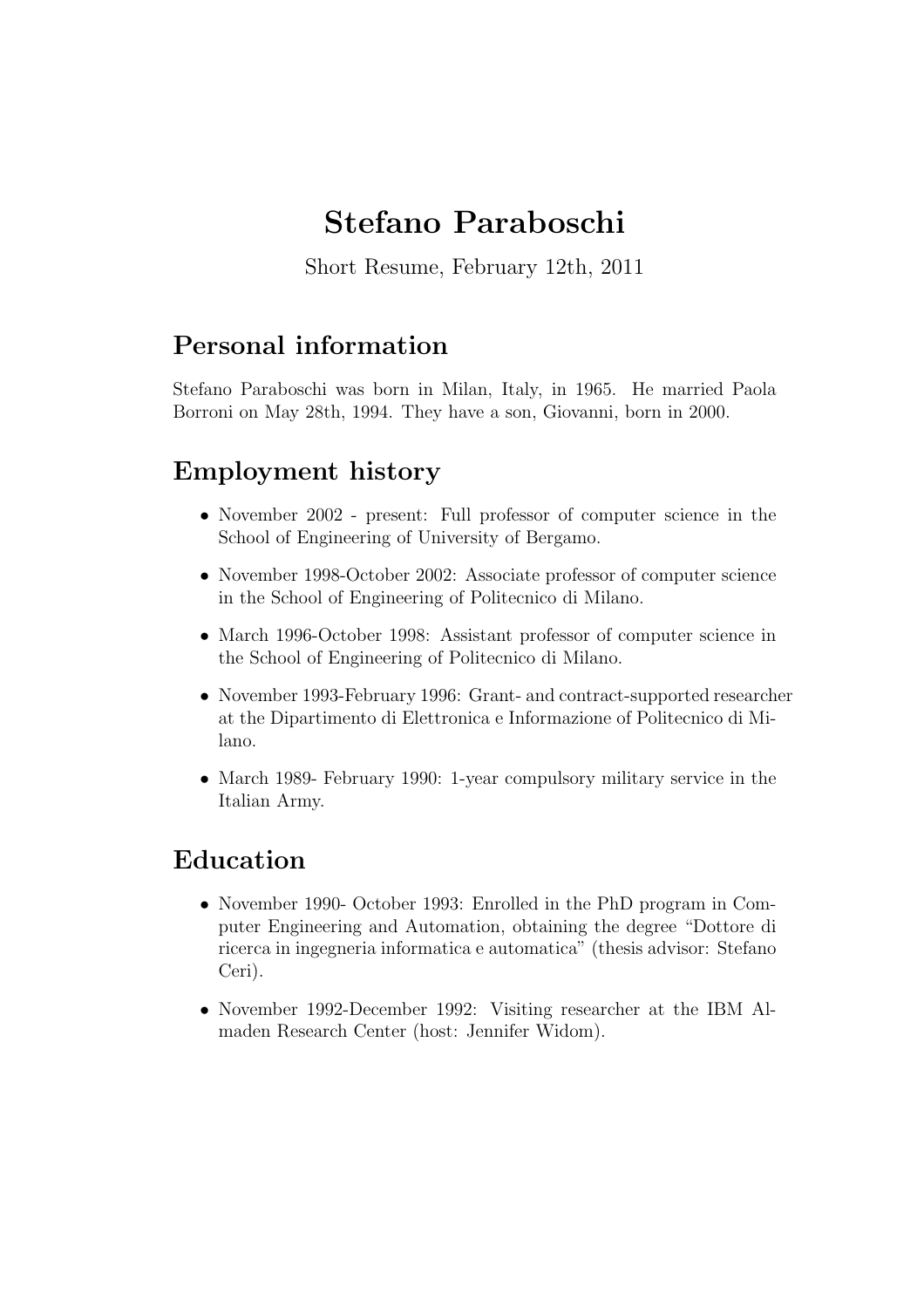# Stefano Paraboschi

Short Resume, February 12th, 2011

## Personal information

Stefano Paraboschi was born in Milan, Italy, in 1965. He married Paola Borroni on May 28th, 1994. They have a son, Giovanni, born in 2000.

# Employment history

- November 2002 present: Full professor of computer science in the School of Engineering of University of Bergamo.
- November 1998-October 2002: Associate professor of computer science in the School of Engineering of Politecnico di Milano.
- March 1996-October 1998: Assistant professor of computer science in the School of Engineering of Politecnico di Milano.
- November 1993-February 1996: Grant- and contract-supported researcher at the Dipartimento di Elettronica e Informazione of Politecnico di Milano.
- March 1989- February 1990: 1-year compulsory military service in the Italian Army.

### Education

- November 1990- October 1993: Enrolled in the PhD program in Computer Engineering and Automation, obtaining the degree "Dottore di ricerca in ingegneria informatica e automatica" (thesis advisor: Stefano Ceri).
- November 1992-December 1992: Visiting researcher at the IBM Almaden Research Center (host: Jennifer Widom).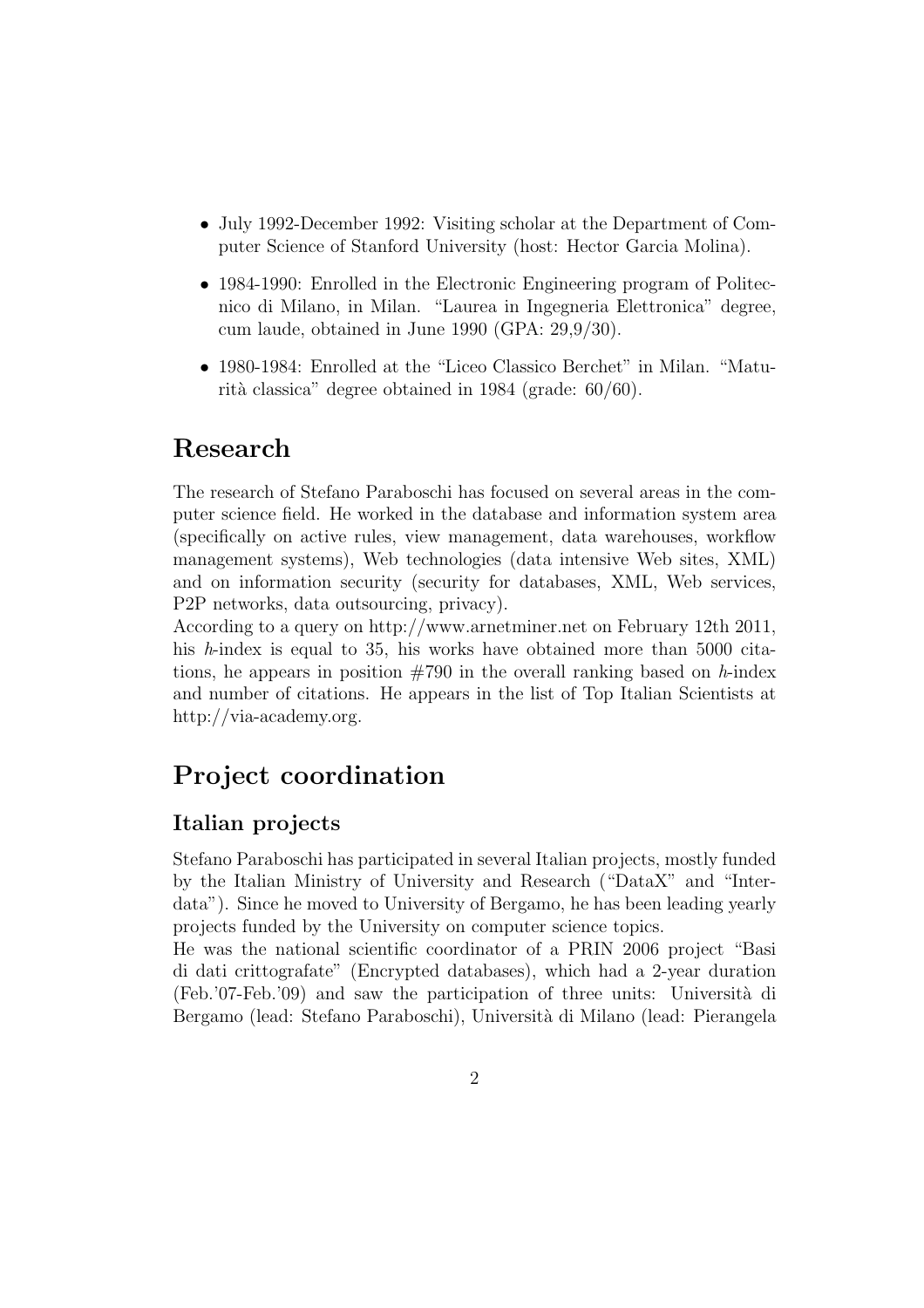- July 1992-December 1992: Visiting scholar at the Department of Computer Science of Stanford University (host: Hector Garcia Molina).
- 1984-1990: Enrolled in the Electronic Engineering program of Politecnico di Milano, in Milan. "Laurea in Ingegneria Elettronica" degree, cum laude, obtained in June 1990 (GPA: 29,9/30).
- 1980-1984: Enrolled at the "Liceo Classico Berchet" in Milan. "Maturità classica" degree obtained in 1984 (grade:  $60/60$ ).

### Research

The research of Stefano Paraboschi has focused on several areas in the computer science field. He worked in the database and information system area (specifically on active rules, view management, data warehouses, workflow management systems), Web technologies (data intensive Web sites, XML) and on information security (security for databases, XML, Web services, P2P networks, data outsourcing, privacy).

According to a query on http://www.arnetminer.net on February 12th 2011, his *h*-index is equal to 35, his works have obtained more than 5000 citations, he appears in position #790 in the overall ranking based on *h*-index and number of citations. He appears in the list of Top Italian Scientists at http://via-academy.org.

### Project coordination

### Italian projects

Stefano Paraboschi has participated in several Italian projects, mostly funded by the Italian Ministry of University and Research ("DataX" and "Interdata"). Since he moved to University of Bergamo, he has been leading yearly projects funded by the University on computer science topics.

He was the national scientific coordinator of a PRIN 2006 project "Basi di dati crittografate" (Encrypted databases), which had a 2-year duration  $(Feb. 07-Feb. 09)$  and saw the participation of three units: Università di Bergamo (lead: Stefano Paraboschi), Università di Milano (lead: Pierangela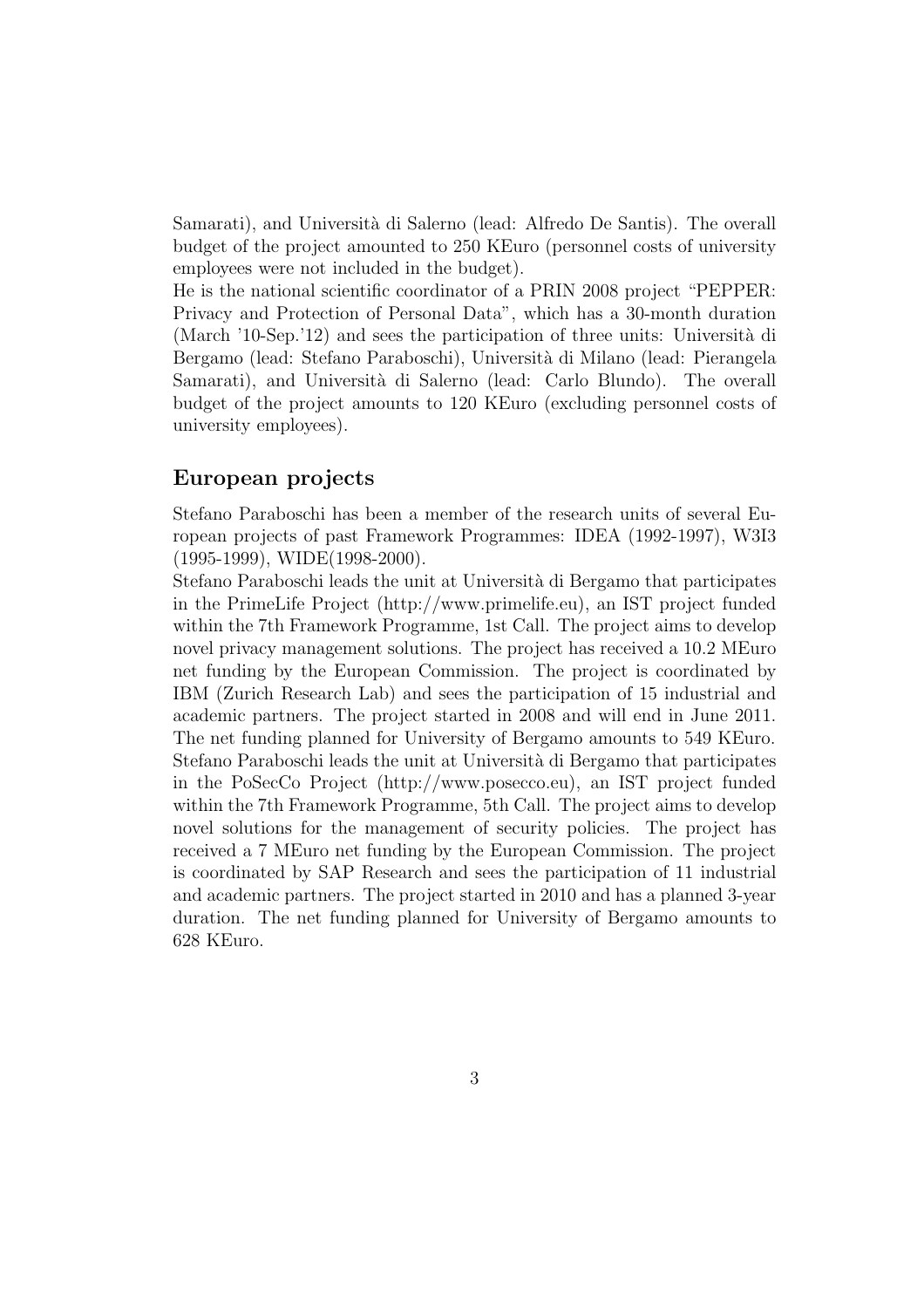Samarati), and Università di Salerno (lead: Alfredo De Santis). The overall budget of the project amounted to 250 KEuro (personnel costs of university employees were not included in the budget).

He is the national scientific coordinator of a PRIN 2008 project "PEPPER: Privacy and Protection of Personal Data", which has a 30-month duration (March  $'10$ -Sep. $'12$ ) and sees the participation of three units: Università di Bergamo (lead: Stefano Paraboschi), Università di Milano (lead: Pierangela Samarati), and Università di Salerno (lead: Carlo Blundo). The overall budget of the project amounts to 120 KEuro (excluding personnel costs of university employees).

#### European projects

Stefano Paraboschi has been a member of the research units of several European projects of past Framework Programmes: IDEA (1992-1997), W3I3 (1995-1999), WIDE(1998-2000).

Stefano Paraboschi leads the unit at Universit`a di Bergamo that participates in the PrimeLife Project (http://www.primelife.eu), an IST project funded within the 7th Framework Programme, 1st Call. The project aims to develop novel privacy management solutions. The project has received a 10.2 MEuro net funding by the European Commission. The project is coordinated by IBM (Zurich Research Lab) and sees the participation of 15 industrial and academic partners. The project started in 2008 and will end in June 2011. The net funding planned for University of Bergamo amounts to 549 KEuro. Stefano Paraboschi leads the unit at Universit`a di Bergamo that participates in the PoSecCo Project (http://www.posecco.eu), an IST project funded within the 7th Framework Programme, 5th Call. The project aims to develop novel solutions for the management of security policies. The project has received a 7 MEuro net funding by the European Commission. The project is coordinated by SAP Research and sees the participation of 11 industrial and academic partners. The project started in 2010 and has a planned 3-year duration. The net funding planned for University of Bergamo amounts to 628 KEuro.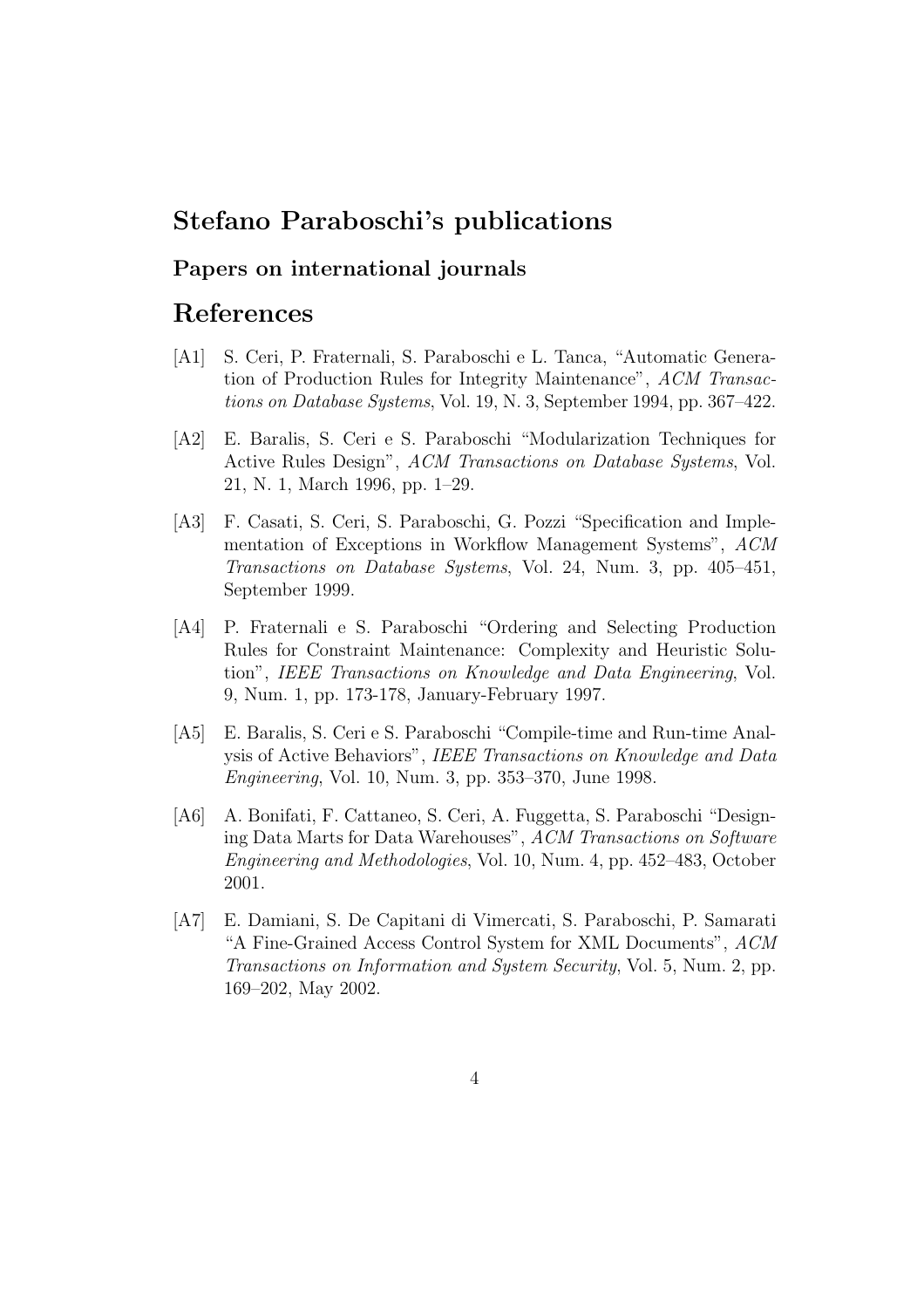### Stefano Paraboschi's publications

### Papers on international journals

### References

- [A1] S. Ceri, P. Fraternali, S. Paraboschi e L. Tanca, "Automatic Generation of Production Rules for Integrity Maintenance", *ACM Transactions on Database Systems*, Vol. 19, N. 3, September 1994, pp. 367–422.
- [A2] E. Baralis, S. Ceri e S. Paraboschi "Modularization Techniques for Active Rules Design", *ACM Transactions on Database Systems*, Vol. 21, N. 1, March 1996, pp. 1–29.
- [A3] F. Casati, S. Ceri, S. Paraboschi, G. Pozzi "Specification and Implementation of Exceptions in Workflow Management Systems", *ACM Transactions on Database Systems*, Vol. 24, Num. 3, pp. 405–451, September 1999.
- [A4] P. Fraternali e S. Paraboschi "Ordering and Selecting Production Rules for Constraint Maintenance: Complexity and Heuristic Solution", *IEEE Transactions on Knowledge and Data Engineering*, Vol. 9, Num. 1, pp. 173-178, January-February 1997.
- [A5] E. Baralis, S. Ceri e S. Paraboschi "Compile-time and Run-time Analysis of Active Behaviors", *IEEE Transactions on Knowledge and Data Engineering*, Vol. 10, Num. 3, pp. 353–370, June 1998.
- [A6] A. Bonifati, F. Cattaneo, S. Ceri, A. Fuggetta, S. Paraboschi "Designing Data Marts for Data Warehouses", *ACM Transactions on Software Engineering and Methodologies*, Vol. 10, Num. 4, pp. 452–483, October 2001.
- [A7] E. Damiani, S. De Capitani di Vimercati, S. Paraboschi, P. Samarati "A Fine-Grained Access Control System for XML Documents", *ACM Transactions on Information and System Security*, Vol. 5, Num. 2, pp. 169–202, May 2002.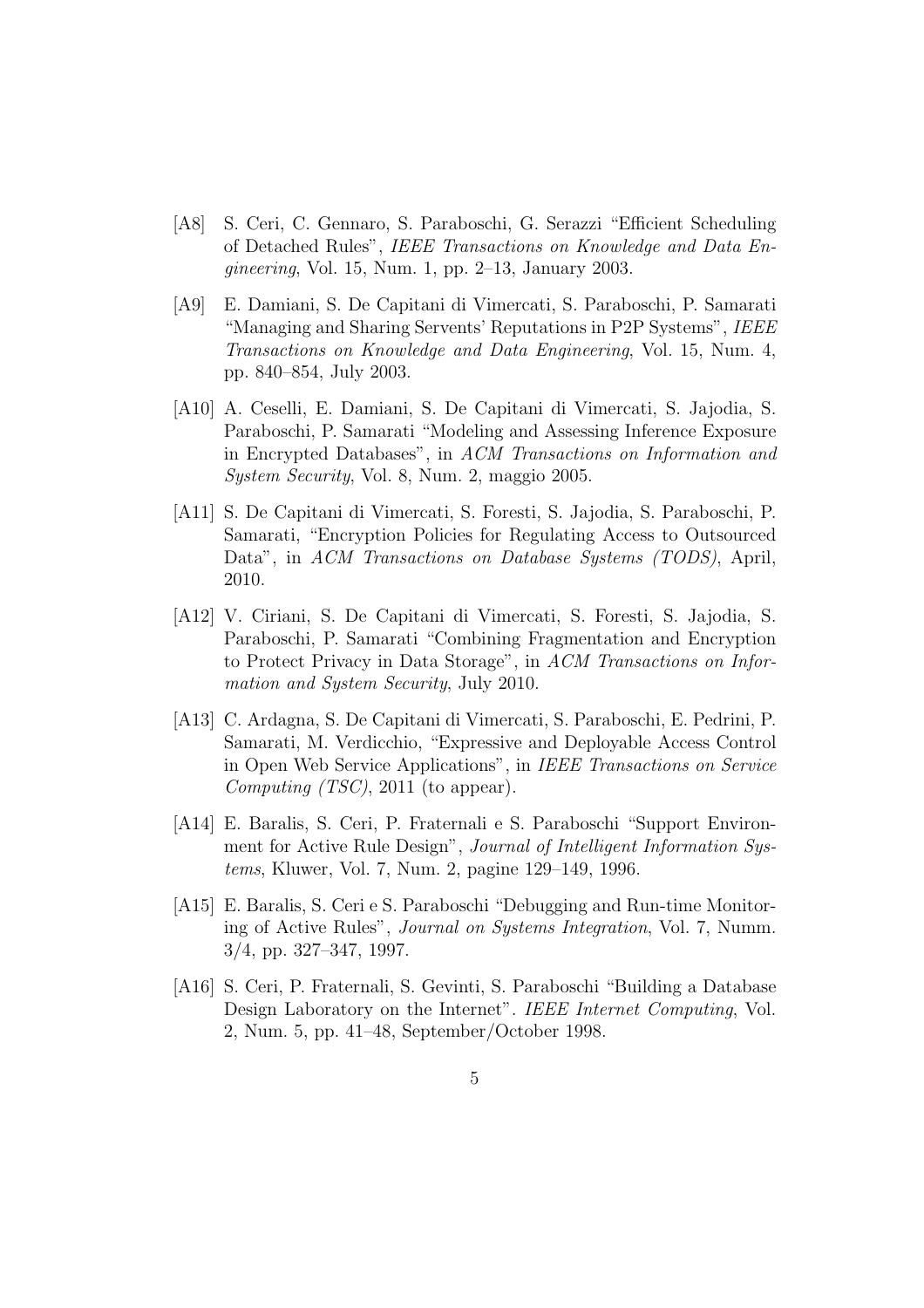- [A8] S. Ceri, C. Gennaro, S. Paraboschi, G. Serazzi "Efficient Scheduling of Detached Rules", *IEEE Transactions on Knowledge and Data Engineering*, Vol. 15, Num. 1, pp. 2–13, January 2003.
- [A9] E. Damiani, S. De Capitani di Vimercati, S. Paraboschi, P. Samarati "Managing and Sharing Servents' Reputations in P2P Systems", *IEEE Transactions on Knowledge and Data Engineering*, Vol. 15, Num. 4, pp. 840–854, July 2003.
- [A10] A. Ceselli, E. Damiani, S. De Capitani di Vimercati, S. Jajodia, S. Paraboschi, P. Samarati "Modeling and Assessing Inference Exposure in Encrypted Databases", in *ACM Transactions on Information and System Security*, Vol. 8, Num. 2, maggio 2005.
- [A11] S. De Capitani di Vimercati, S. Foresti, S. Jajodia, S. Paraboschi, P. Samarati, "Encryption Policies for Regulating Access to Outsourced Data", in *ACM Transactions on Database Systems (TODS)*, April, 2010.
- [A12] V. Ciriani, S. De Capitani di Vimercati, S. Foresti, S. Jajodia, S. Paraboschi, P. Samarati "Combining Fragmentation and Encryption to Protect Privacy in Data Storage", in *ACM Transactions on Information and System Security*, July 2010.
- [A13] C. Ardagna, S. De Capitani di Vimercati, S. Paraboschi, E. Pedrini, P. Samarati, M. Verdicchio, "Expressive and Deployable Access Control in Open Web Service Applications", in *IEEE Transactions on Service Computing (TSC)*, 2011 (to appear).
- [A14] E. Baralis, S. Ceri, P. Fraternali e S. Paraboschi "Support Environment for Active Rule Design", *Journal of Intelligent Information Systems*, Kluwer, Vol. 7, Num. 2, pagine 129–149, 1996.
- [A15] E. Baralis, S. Ceri e S. Paraboschi "Debugging and Run-time Monitoring of Active Rules", *Journal on Systems Integration*, Vol. 7, Numm. 3/4, pp. 327–347, 1997.
- [A16] S. Ceri, P. Fraternali, S. Gevinti, S. Paraboschi "Building a Database Design Laboratory on the Internet". *IEEE Internet Computing*, Vol. 2, Num. 5, pp. 41–48, September/October 1998.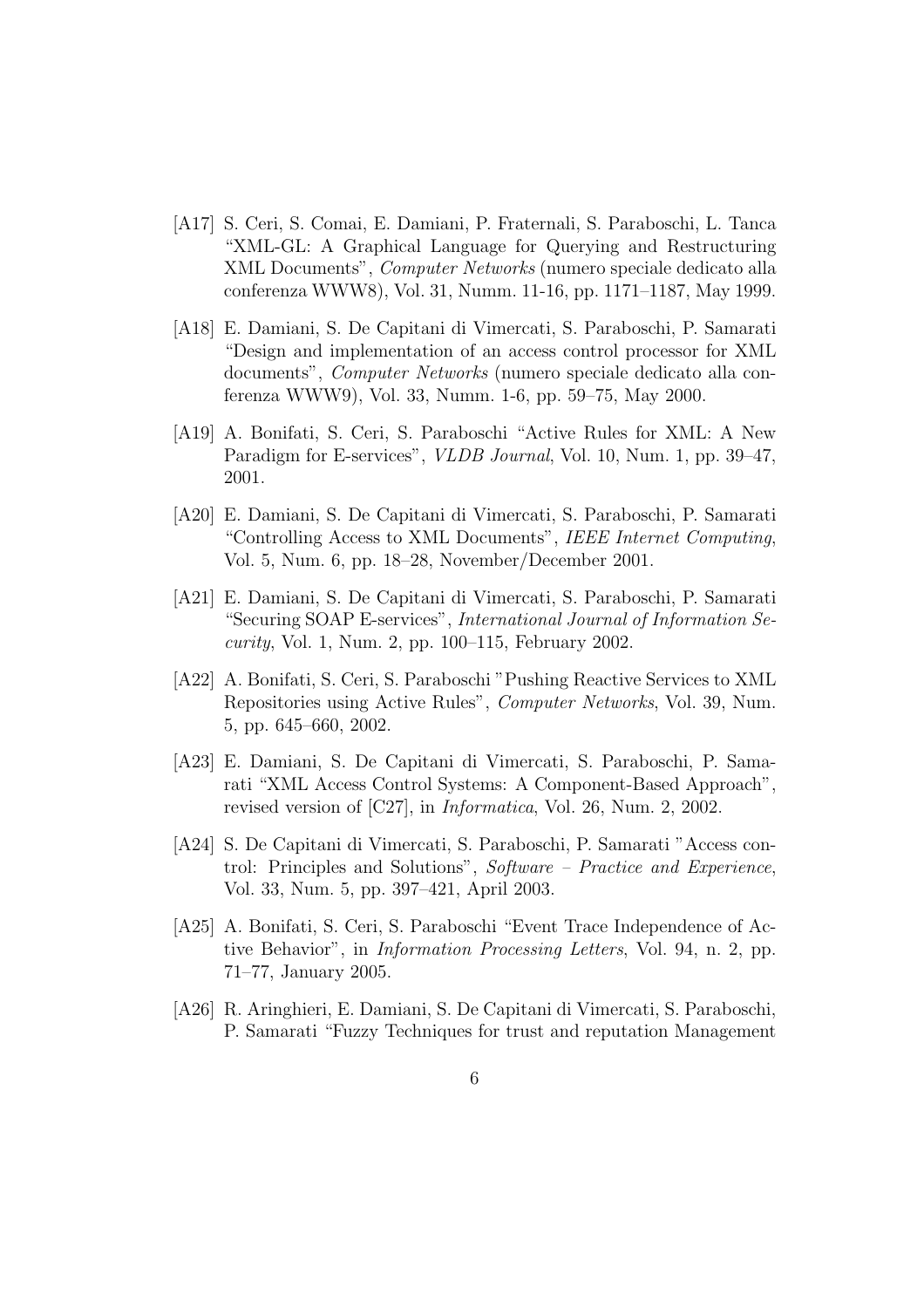- [A17] S. Ceri, S. Comai, E. Damiani, P. Fraternali, S. Paraboschi, L. Tanca "XML-GL: A Graphical Language for Querying and Restructuring XML Documents", *Computer Networks* (numero speciale dedicato alla conferenza WWW8), Vol. 31, Numm. 11-16, pp. 1171–1187, May 1999.
- [A18] E. Damiani, S. De Capitani di Vimercati, S. Paraboschi, P. Samarati "Design and implementation of an access control processor for XML documents", *Computer Networks* (numero speciale dedicato alla conferenza WWW9), Vol. 33, Numm. 1-6, pp. 59–75, May 2000.
- [A19] A. Bonifati, S. Ceri, S. Paraboschi "Active Rules for XML: A New Paradigm for E-services", *VLDB Journal*, Vol. 10, Num. 1, pp. 39–47, 2001.
- [A20] E. Damiani, S. De Capitani di Vimercati, S. Paraboschi, P. Samarati "Controlling Access to XML Documents", *IEEE Internet Computing*, Vol. 5, Num. 6, pp. 18–28, November/December 2001.
- [A21] E. Damiani, S. De Capitani di Vimercati, S. Paraboschi, P. Samarati "Securing SOAP E-services", *International Journal of Information Security*, Vol. 1, Num. 2, pp. 100–115, February 2002.
- [A22] A. Bonifati, S. Ceri, S. Paraboschi "Pushing Reactive Services to XML Repositories using Active Rules", *Computer Networks*, Vol. 39, Num. 5, pp. 645–660, 2002.
- [A23] E. Damiani, S. De Capitani di Vimercati, S. Paraboschi, P. Samarati "XML Access Control Systems: A Component-Based Approach", revised version of [C27], in *Informatica*, Vol. 26, Num. 2, 2002.
- [A24] S. De Capitani di Vimercati, S. Paraboschi, P. Samarati "Access control: Principles and Solutions", *Software – Practice and Experience*, Vol. 33, Num. 5, pp. 397–421, April 2003.
- [A25] A. Bonifati, S. Ceri, S. Paraboschi "Event Trace Independence of Active Behavior", in *Information Processing Letters*, Vol. 94, n. 2, pp. 71–77, January 2005.
- [A26] R. Aringhieri, E. Damiani, S. De Capitani di Vimercati, S. Paraboschi, P. Samarati "Fuzzy Techniques for trust and reputation Management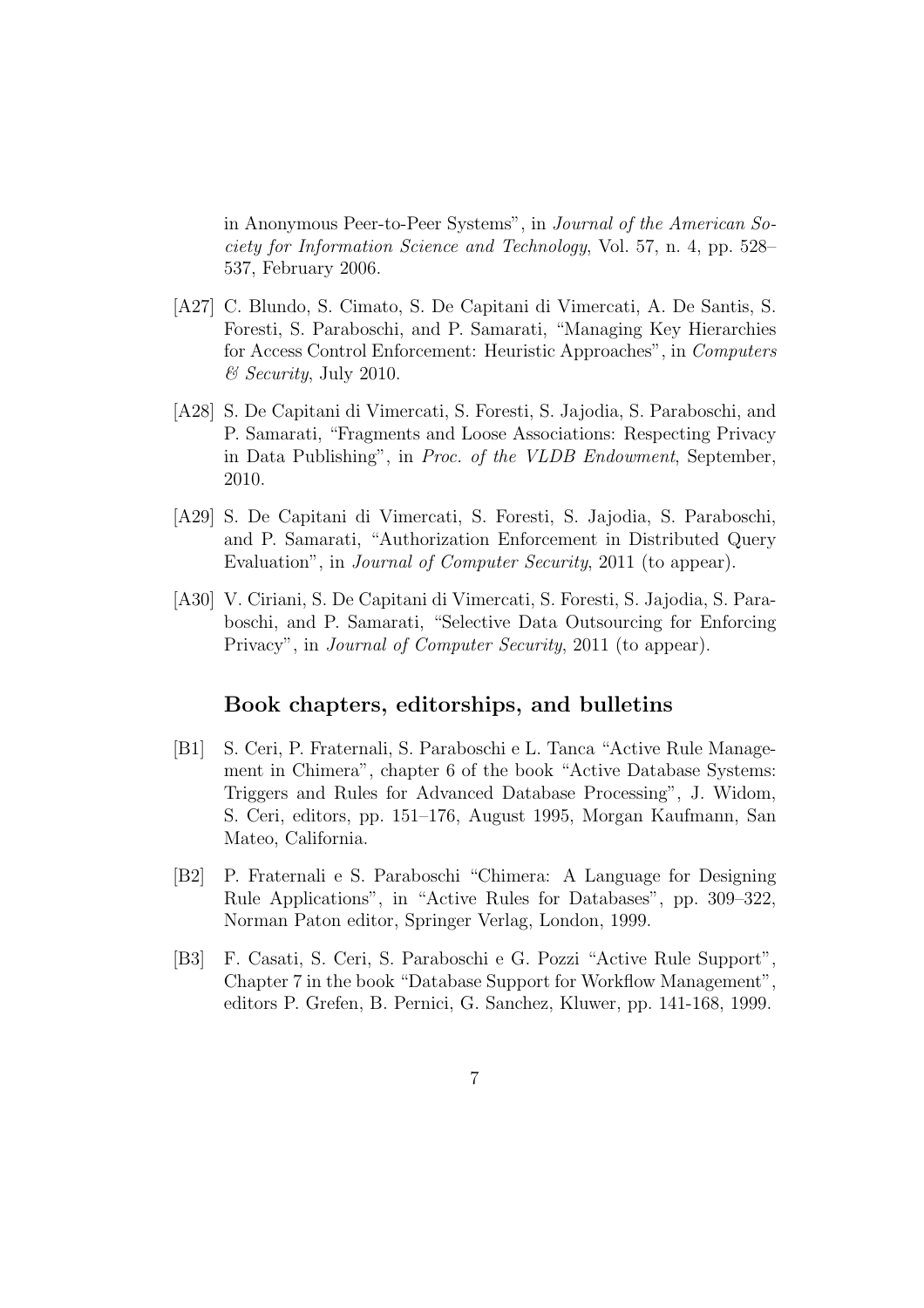in Anonymous Peer-to-Peer Systems", in *Journal of the American Society for Information Science and Technology*, Vol. 57, n. 4, pp. 528– 537, February 2006.

- [A27] C. Blundo, S. Cimato, S. De Capitani di Vimercati, A. De Santis, S. Foresti, S. Paraboschi, and P. Samarati, "Managing Key Hierarchies for Access Control Enforcement: Heuristic Approaches", in *Computers & Security*, July 2010.
- [A28] S. De Capitani di Vimercati, S. Foresti, S. Jajodia, S. Paraboschi, and P. Samarati, "Fragments and Loose Associations: Respecting Privacy in Data Publishing", in *Proc. of the VLDB Endowment*, September, 2010.
- [A29] S. De Capitani di Vimercati, S. Foresti, S. Jajodia, S. Paraboschi, and P. Samarati, "Authorization Enforcement in Distributed Query Evaluation", in *Journal of Computer Security*, 2011 (to appear).
- [A30] V. Ciriani, S. De Capitani di Vimercati, S. Foresti, S. Jajodia, S. Paraboschi, and P. Samarati, "Selective Data Outsourcing for Enforcing Privacy", in *Journal of Computer Security*, 2011 (to appear).

#### Book chapters, editorships, and bulletins

- [B1] S. Ceri, P. Fraternali, S. Paraboschi e L. Tanca "Active Rule Management in Chimera", chapter 6 of the book "Active Database Systems: Triggers and Rules for Advanced Database Processing", J. Widom, S. Ceri, editors, pp. 151–176, August 1995, Morgan Kaufmann, San Mateo, California.
- [B2] P. Fraternali e S. Paraboschi "Chimera: A Language for Designing Rule Applications", in "Active Rules for Databases", pp. 309–322, Norman Paton editor, Springer Verlag, London, 1999.
- [B3] F. Casati, S. Ceri, S. Paraboschi e G. Pozzi "Active Rule Support", Chapter 7 in the book "Database Support for Workflow Management", editors P. Grefen, B. Pernici, G. Sanchez, Kluwer, pp. 141-168, 1999.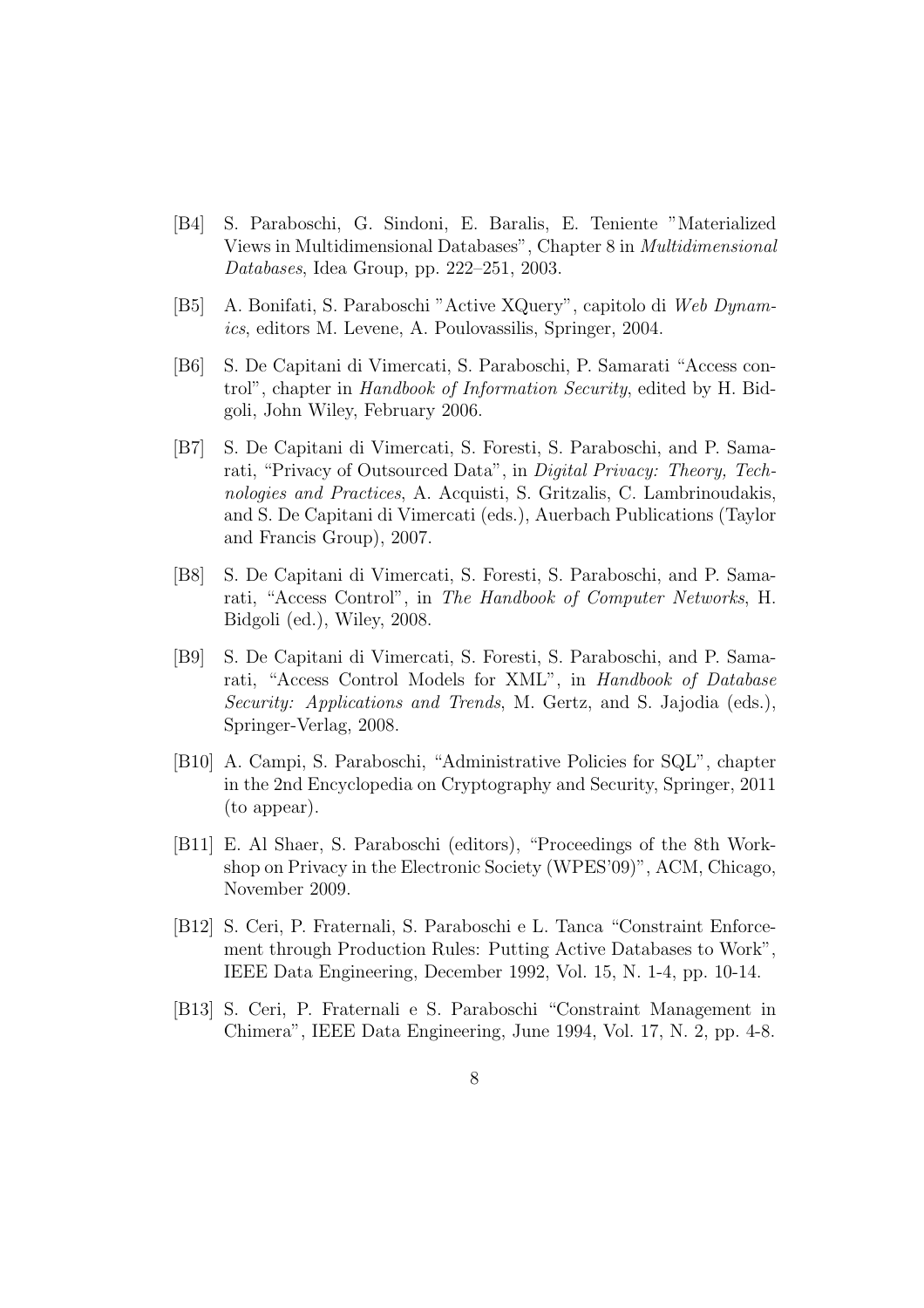- [B4] S. Paraboschi, G. Sindoni, E. Baralis, E. Teniente "Materialized Views in Multidimensional Databases", Chapter 8 in *Multidimensional Databases*, Idea Group, pp. 222–251, 2003.
- [B5] A. Bonifati, S. Paraboschi "Active XQuery", capitolo di *Web Dynamics*, editors M. Levene, A. Poulovassilis, Springer, 2004.
- [B6] S. De Capitani di Vimercati, S. Paraboschi, P. Samarati "Access control", chapter in *Handbook of Information Security*, edited by H. Bidgoli, John Wiley, February 2006.
- [B7] S. De Capitani di Vimercati, S. Foresti, S. Paraboschi, and P. Samarati, "Privacy of Outsourced Data", in *Digital Privacy: Theory, Technologies and Practices*, A. Acquisti, S. Gritzalis, C. Lambrinoudakis, and S. De Capitani di Vimercati (eds.), Auerbach Publications (Taylor and Francis Group), 2007.
- [B8] S. De Capitani di Vimercati, S. Foresti, S. Paraboschi, and P. Samarati, "Access Control", in *The Handbook of Computer Networks*, H. Bidgoli (ed.), Wiley, 2008.
- [B9] S. De Capitani di Vimercati, S. Foresti, S. Paraboschi, and P. Samarati, "Access Control Models for XML", in *Handbook of Database Security: Applications and Trends*, M. Gertz, and S. Jajodia (eds.), Springer-Verlag, 2008.
- [B10] A. Campi, S. Paraboschi, "Administrative Policies for SQL", chapter in the 2nd Encyclopedia on Cryptography and Security, Springer, 2011 (to appear).
- [B11] E. Al Shaer, S. Paraboschi (editors), "Proceedings of the 8th Workshop on Privacy in the Electronic Society (WPES'09)", ACM, Chicago, November 2009.
- [B12] S. Ceri, P. Fraternali, S. Paraboschi e L. Tanca "Constraint Enforcement through Production Rules: Putting Active Databases to Work", IEEE Data Engineering, December 1992, Vol. 15, N. 1-4, pp. 10-14.
- [B13] S. Ceri, P. Fraternali e S. Paraboschi "Constraint Management in Chimera", IEEE Data Engineering, June 1994, Vol. 17, N. 2, pp. 4-8.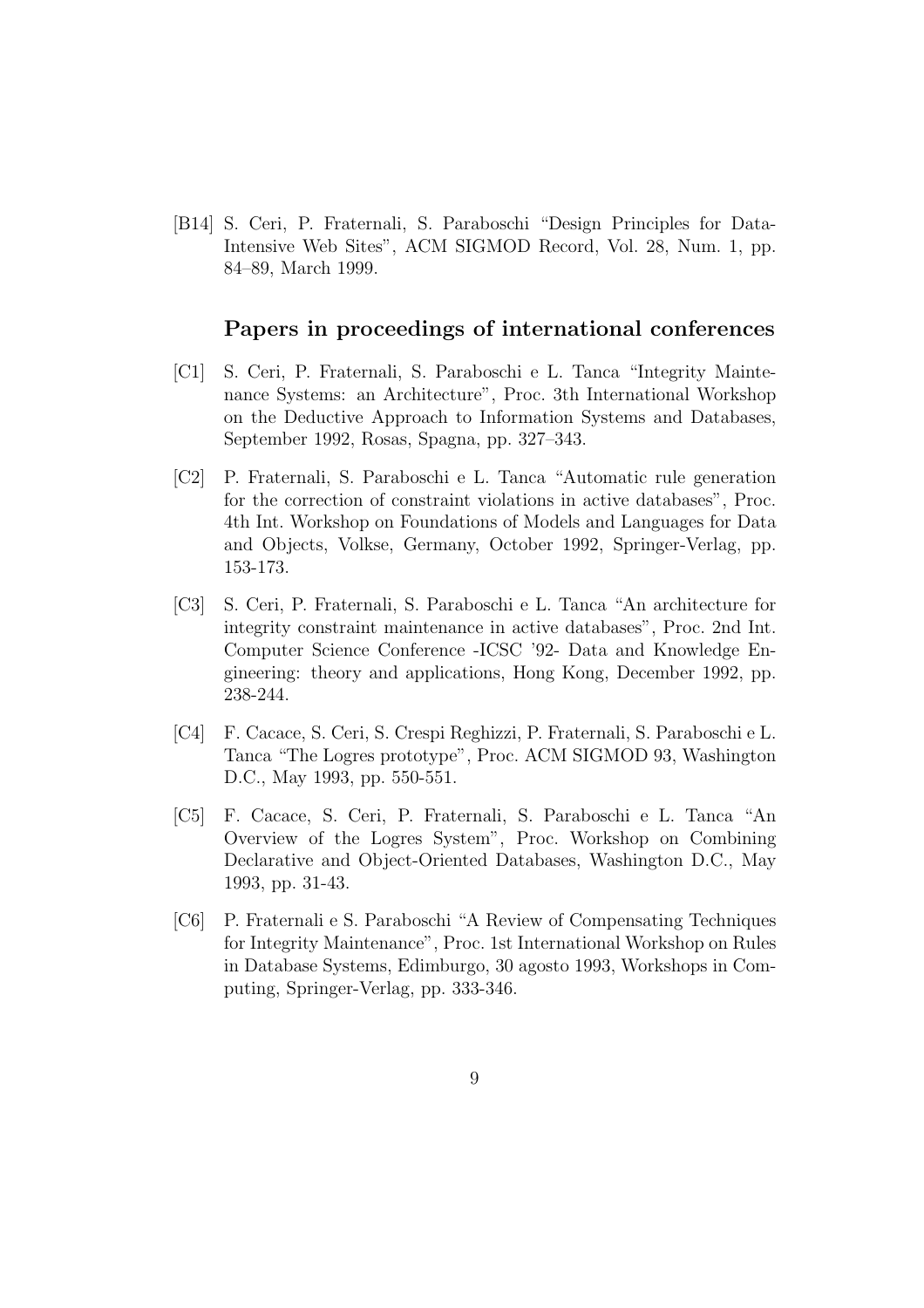[B14] S. Ceri, P. Fraternali, S. Paraboschi "Design Principles for Data-Intensive Web Sites", ACM SIGMOD Record, Vol. 28, Num. 1, pp. 84–89, March 1999.

#### Papers in proceedings of international conferences

- [C1] S. Ceri, P. Fraternali, S. Paraboschi e L. Tanca "Integrity Maintenance Systems: an Architecture", Proc. 3th International Workshop on the Deductive Approach to Information Systems and Databases, September 1992, Rosas, Spagna, pp. 327–343.
- [C2] P. Fraternali, S. Paraboschi e L. Tanca "Automatic rule generation for the correction of constraint violations in active databases", Proc. 4th Int. Workshop on Foundations of Models and Languages for Data and Objects, Volkse, Germany, October 1992, Springer-Verlag, pp. 153-173.
- [C3] S. Ceri, P. Fraternali, S. Paraboschi e L. Tanca "An architecture for integrity constraint maintenance in active databases", Proc. 2nd Int. Computer Science Conference -ICSC '92- Data and Knowledge Engineering: theory and applications, Hong Kong, December 1992, pp. 238-244.
- [C4] F. Cacace, S. Ceri, S. Crespi Reghizzi, P. Fraternali, S. Paraboschi e L. Tanca "The Logres prototype", Proc. ACM SIGMOD 93, Washington D.C., May 1993, pp. 550-551.
- [C5] F. Cacace, S. Ceri, P. Fraternali, S. Paraboschi e L. Tanca "An Overview of the Logres System", Proc. Workshop on Combining Declarative and Object-Oriented Databases, Washington D.C., May 1993, pp. 31-43.
- [C6] P. Fraternali e S. Paraboschi "A Review of Compensating Techniques for Integrity Maintenance", Proc. 1st International Workshop on Rules in Database Systems, Edimburgo, 30 agosto 1993, Workshops in Computing, Springer-Verlag, pp. 333-346.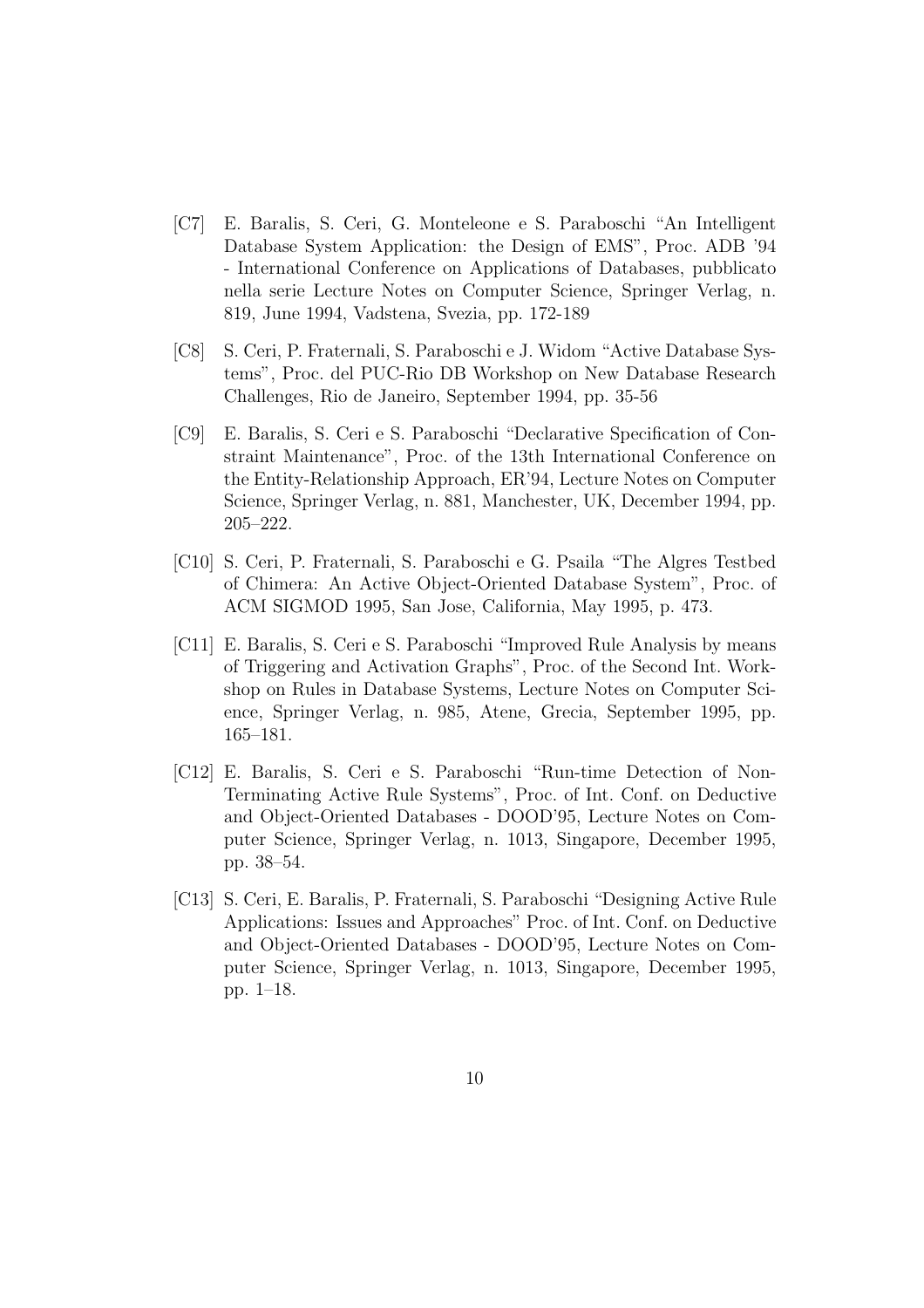- [C7] E. Baralis, S. Ceri, G. Monteleone e S. Paraboschi "An Intelligent Database System Application: the Design of EMS", Proc. ADB '94 - International Conference on Applications of Databases, pubblicato nella serie Lecture Notes on Computer Science, Springer Verlag, n. 819, June 1994, Vadstena, Svezia, pp. 172-189
- [C8] S. Ceri, P. Fraternali, S. Paraboschi e J. Widom "Active Database Systems", Proc. del PUC-Rio DB Workshop on New Database Research Challenges, Rio de Janeiro, September 1994, pp. 35-56
- [C9] E. Baralis, S. Ceri e S. Paraboschi "Declarative Specification of Constraint Maintenance", Proc. of the 13th International Conference on the Entity-Relationship Approach, ER'94, Lecture Notes on Computer Science, Springer Verlag, n. 881, Manchester, UK, December 1994, pp. 205–222.
- [C10] S. Ceri, P. Fraternali, S. Paraboschi e G. Psaila "The Algres Testbed of Chimera: An Active Object-Oriented Database System", Proc. of ACM SIGMOD 1995, San Jose, California, May 1995, p. 473.
- [C11] E. Baralis, S. Ceri e S. Paraboschi "Improved Rule Analysis by means of Triggering and Activation Graphs", Proc. of the Second Int. Workshop on Rules in Database Systems, Lecture Notes on Computer Science, Springer Verlag, n. 985, Atene, Grecia, September 1995, pp. 165–181.
- [C12] E. Baralis, S. Ceri e S. Paraboschi "Run-time Detection of Non-Terminating Active Rule Systems", Proc. of Int. Conf. on Deductive and Object-Oriented Databases - DOOD'95, Lecture Notes on Computer Science, Springer Verlag, n. 1013, Singapore, December 1995, pp. 38–54.
- [C13] S. Ceri, E. Baralis, P. Fraternali, S. Paraboschi "Designing Active Rule Applications: Issues and Approaches" Proc. of Int. Conf. on Deductive and Object-Oriented Databases - DOOD'95, Lecture Notes on Computer Science, Springer Verlag, n. 1013, Singapore, December 1995, pp. 1–18.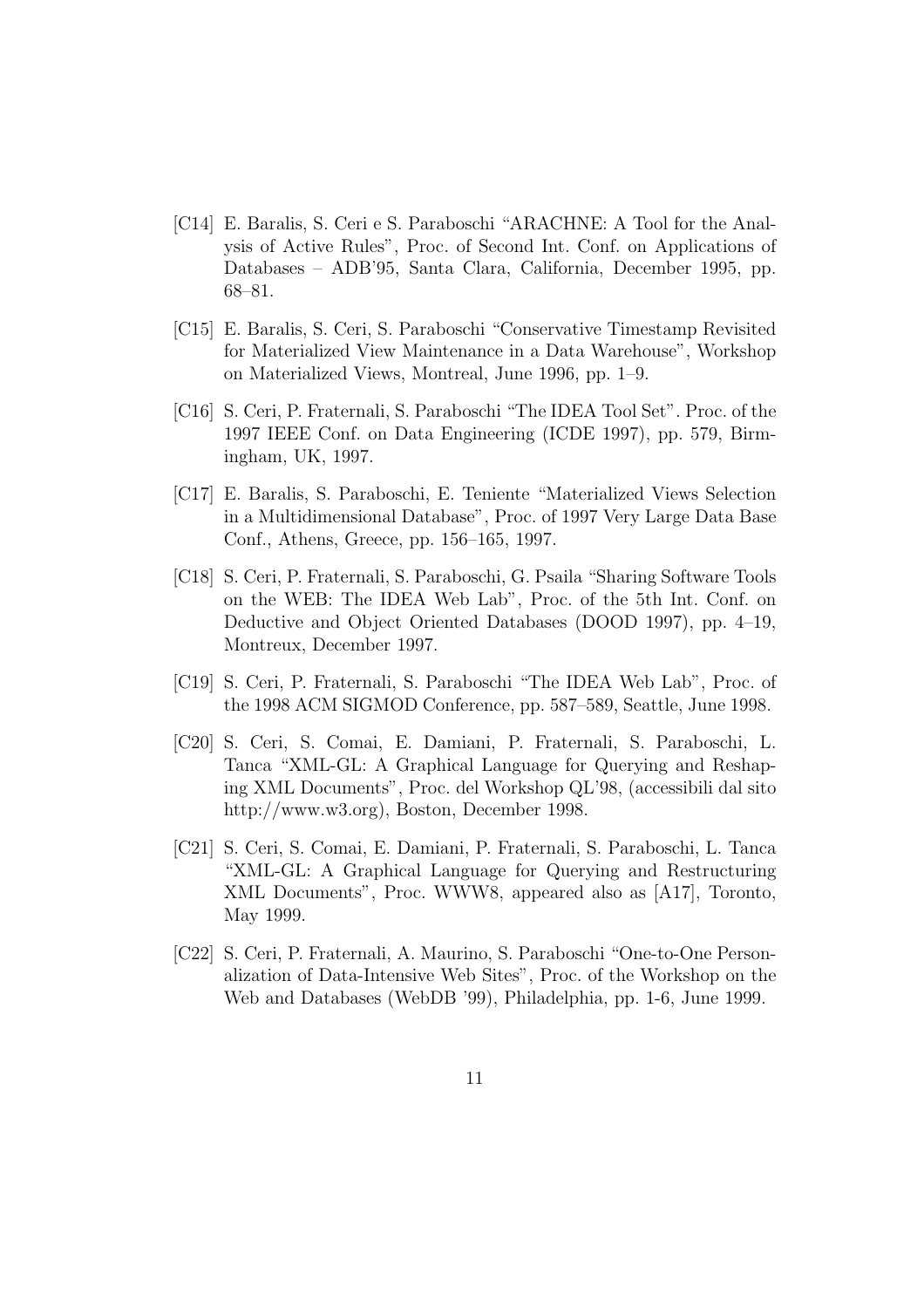- [C14] E. Baralis, S. Ceri e S. Paraboschi "ARACHNE: A Tool for the Analysis of Active Rules", Proc. of Second Int. Conf. on Applications of Databases – ADB'95, Santa Clara, California, December 1995, pp. 68–81.
- [C15] E. Baralis, S. Ceri, S. Paraboschi "Conservative Timestamp Revisited for Materialized View Maintenance in a Data Warehouse", Workshop on Materialized Views, Montreal, June 1996, pp. 1–9.
- [C16] S. Ceri, P. Fraternali, S. Paraboschi "The IDEA Tool Set". Proc. of the 1997 IEEE Conf. on Data Engineering (ICDE 1997), pp. 579, Birmingham, UK, 1997.
- [C17] E. Baralis, S. Paraboschi, E. Teniente "Materialized Views Selection in a Multidimensional Database", Proc. of 1997 Very Large Data Base Conf., Athens, Greece, pp. 156–165, 1997.
- [C18] S. Ceri, P. Fraternali, S. Paraboschi, G. Psaila "Sharing Software Tools on the WEB: The IDEA Web Lab", Proc. of the 5th Int. Conf. on Deductive and Object Oriented Databases (DOOD 1997), pp. 4–19, Montreux, December 1997.
- [C19] S. Ceri, P. Fraternali, S. Paraboschi "The IDEA Web Lab", Proc. of the 1998 ACM SIGMOD Conference, pp. 587–589, Seattle, June 1998.
- [C20] S. Ceri, S. Comai, E. Damiani, P. Fraternali, S. Paraboschi, L. Tanca "XML-GL: A Graphical Language for Querying and Reshaping XML Documents", Proc. del Workshop QL'98, (accessibili dal sito http://www.w3.org), Boston, December 1998.
- [C21] S. Ceri, S. Comai, E. Damiani, P. Fraternali, S. Paraboschi, L. Tanca "XML-GL: A Graphical Language for Querying and Restructuring XML Documents", Proc. WWW8, appeared also as [A17], Toronto, May 1999.
- [C22] S. Ceri, P. Fraternali, A. Maurino, S. Paraboschi "One-to-One Personalization of Data-Intensive Web Sites", Proc. of the Workshop on the Web and Databases (WebDB '99), Philadelphia, pp. 1-6, June 1999.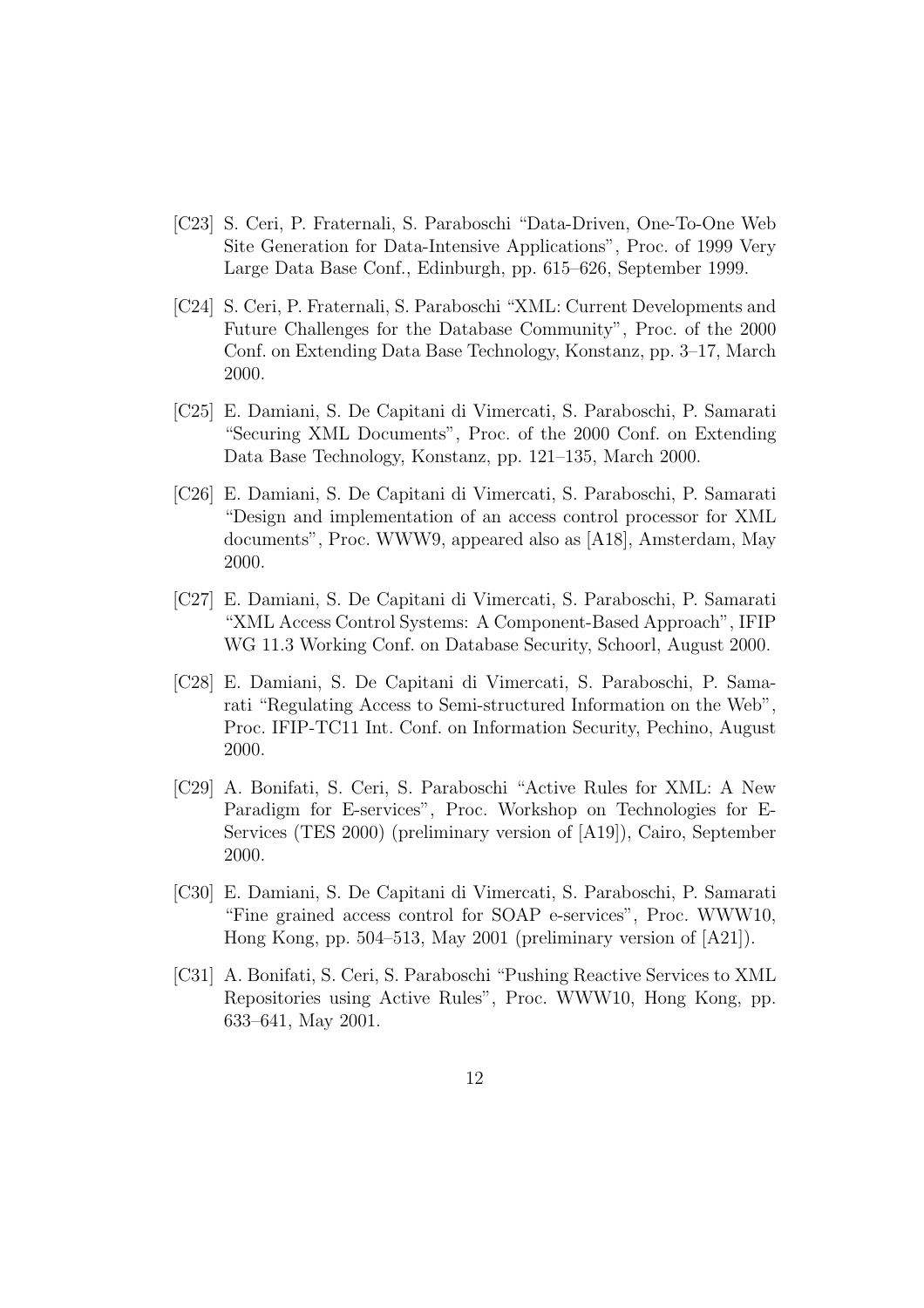- [C23] S. Ceri, P. Fraternali, S. Paraboschi "Data-Driven, One-To-One Web Site Generation for Data-Intensive Applications", Proc. of 1999 Very Large Data Base Conf., Edinburgh, pp. 615–626, September 1999.
- [C24] S. Ceri, P. Fraternali, S. Paraboschi "XML: Current Developments and Future Challenges for the Database Community", Proc. of the 2000 Conf. on Extending Data Base Technology, Konstanz, pp. 3–17, March 2000.
- [C25] E. Damiani, S. De Capitani di Vimercati, S. Paraboschi, P. Samarati "Securing XML Documents", Proc. of the 2000 Conf. on Extending Data Base Technology, Konstanz, pp. 121–135, March 2000.
- [C26] E. Damiani, S. De Capitani di Vimercati, S. Paraboschi, P. Samarati "Design and implementation of an access control processor for XML documents", Proc. WWW9, appeared also as [A18], Amsterdam, May 2000.
- [C27] E. Damiani, S. De Capitani di Vimercati, S. Paraboschi, P. Samarati "XML Access Control Systems: A Component-Based Approach", IFIP WG 11.3 Working Conf. on Database Security, Schoorl, August 2000.
- [C28] E. Damiani, S. De Capitani di Vimercati, S. Paraboschi, P. Samarati "Regulating Access to Semi-structured Information on the Web", Proc. IFIP-TC11 Int. Conf. on Information Security, Pechino, August 2000.
- [C29] A. Bonifati, S. Ceri, S. Paraboschi "Active Rules for XML: A New Paradigm for E-services", Proc. Workshop on Technologies for E-Services (TES 2000) (preliminary version of [A19]), Cairo, September 2000.
- [C30] E. Damiani, S. De Capitani di Vimercati, S. Paraboschi, P. Samarati "Fine grained access control for SOAP e-services", Proc. WWW10, Hong Kong, pp. 504–513, May 2001 (preliminary version of [A21]).
- [C31] A. Bonifati, S. Ceri, S. Paraboschi "Pushing Reactive Services to XML Repositories using Active Rules", Proc. WWW10, Hong Kong, pp. 633–641, May 2001.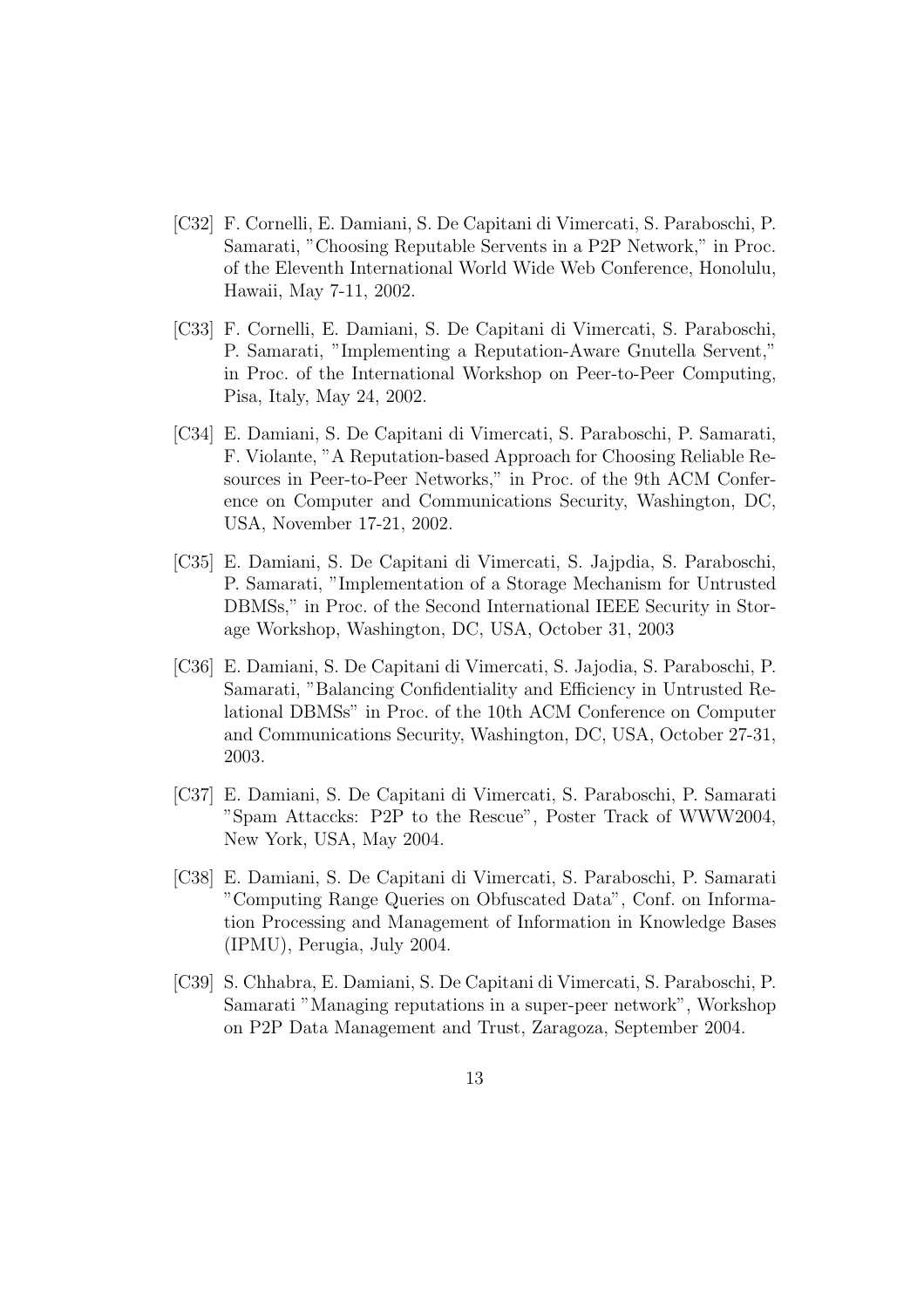- [C32] F. Cornelli, E. Damiani, S. De Capitani di Vimercati, S. Paraboschi, P. Samarati, "Choosing Reputable Servents in a P2P Network," in Proc. of the Eleventh International World Wide Web Conference, Honolulu, Hawaii, May 7-11, 2002.
- [C33] F. Cornelli, E. Damiani, S. De Capitani di Vimercati, S. Paraboschi, P. Samarati, "Implementing a Reputation-Aware Gnutella Servent," in Proc. of the International Workshop on Peer-to-Peer Computing, Pisa, Italy, May 24, 2002.
- [C34] E. Damiani, S. De Capitani di Vimercati, S. Paraboschi, P. Samarati, F. Violante, "A Reputation-based Approach for Choosing Reliable Resources in Peer-to-Peer Networks," in Proc. of the 9th ACM Conference on Computer and Communications Security, Washington, DC, USA, November 17-21, 2002.
- [C35] E. Damiani, S. De Capitani di Vimercati, S. Jajpdia, S. Paraboschi, P. Samarati, "Implementation of a Storage Mechanism for Untrusted DBMSs," in Proc. of the Second International IEEE Security in Storage Workshop, Washington, DC, USA, October 31, 2003
- [C36] E. Damiani, S. De Capitani di Vimercati, S. Jajodia, S. Paraboschi, P. Samarati, "Balancing Confidentiality and Efficiency in Untrusted Relational DBMSs" in Proc. of the 10th ACM Conference on Computer and Communications Security, Washington, DC, USA, October 27-31, 2003.
- [C37] E. Damiani, S. De Capitani di Vimercati, S. Paraboschi, P. Samarati "Spam Attaccks: P2P to the Rescue", Poster Track of WWW2004, New York, USA, May 2004.
- [C38] E. Damiani, S. De Capitani di Vimercati, S. Paraboschi, P. Samarati "Computing Range Queries on Obfuscated Data", Conf. on Information Processing and Management of Information in Knowledge Bases (IPMU), Perugia, July 2004.
- [C39] S. Chhabra, E. Damiani, S. De Capitani di Vimercati, S. Paraboschi, P. Samarati "Managing reputations in a super-peer network", Workshop on P2P Data Management and Trust, Zaragoza, September 2004.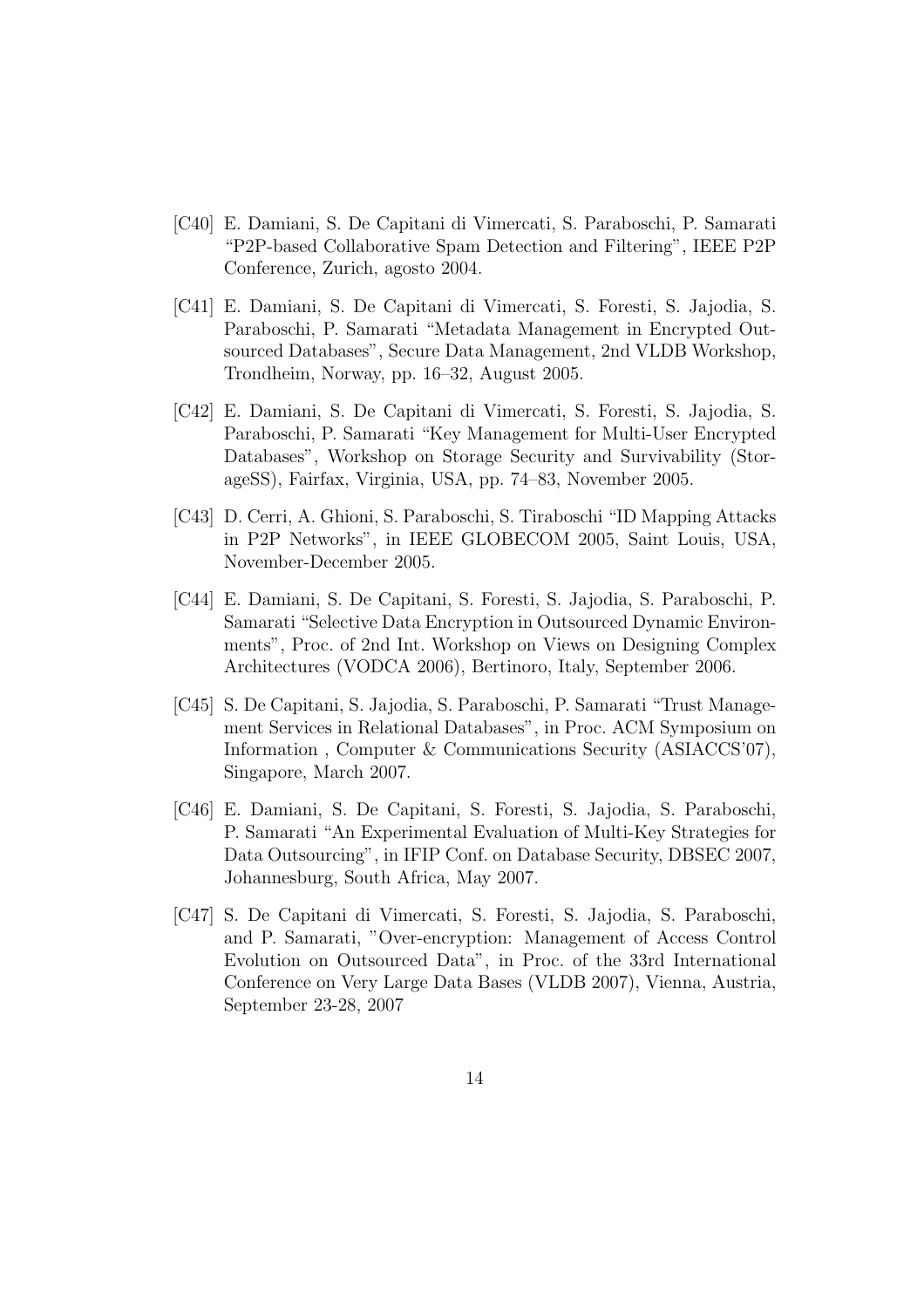- [C40] E. Damiani, S. De Capitani di Vimercati, S. Paraboschi, P. Samarati "P2P-based Collaborative Spam Detection and Filtering", IEEE P2P Conference, Zurich, agosto 2004.
- [C41] E. Damiani, S. De Capitani di Vimercati, S. Foresti, S. Jajodia, S. Paraboschi, P. Samarati "Metadata Management in Encrypted Outsourced Databases", Secure Data Management, 2nd VLDB Workshop, Trondheim, Norway, pp. 16–32, August 2005.
- [C42] E. Damiani, S. De Capitani di Vimercati, S. Foresti, S. Jajodia, S. Paraboschi, P. Samarati "Key Management for Multi-User Encrypted Databases", Workshop on Storage Security and Survivability (StorageSS), Fairfax, Virginia, USA, pp. 74–83, November 2005.
- [C43] D. Cerri, A. Ghioni, S. Paraboschi, S. Tiraboschi "ID Mapping Attacks in P2P Networks", in IEEE GLOBECOM 2005, Saint Louis, USA, November-December 2005.
- [C44] E. Damiani, S. De Capitani, S. Foresti, S. Jajodia, S. Paraboschi, P. Samarati "Selective Data Encryption in Outsourced Dynamic Environments", Proc. of 2nd Int. Workshop on Views on Designing Complex Architectures (VODCA 2006), Bertinoro, Italy, September 2006.
- [C45] S. De Capitani, S. Jajodia, S. Paraboschi, P. Samarati "Trust Management Services in Relational Databases", in Proc. ACM Symposium on Information , Computer & Communications Security (ASIACCS'07), Singapore, March 2007.
- [C46] E. Damiani, S. De Capitani, S. Foresti, S. Jajodia, S. Paraboschi, P. Samarati "An Experimental Evaluation of Multi-Key Strategies for Data Outsourcing", in IFIP Conf. on Database Security, DBSEC 2007, Johannesburg, South Africa, May 2007.
- [C47] S. De Capitani di Vimercati, S. Foresti, S. Jajodia, S. Paraboschi, and P. Samarati, "Over-encryption: Management of Access Control Evolution on Outsourced Data", in Proc. of the 33rd International Conference on Very Large Data Bases (VLDB 2007), Vienna, Austria, September 23-28, 2007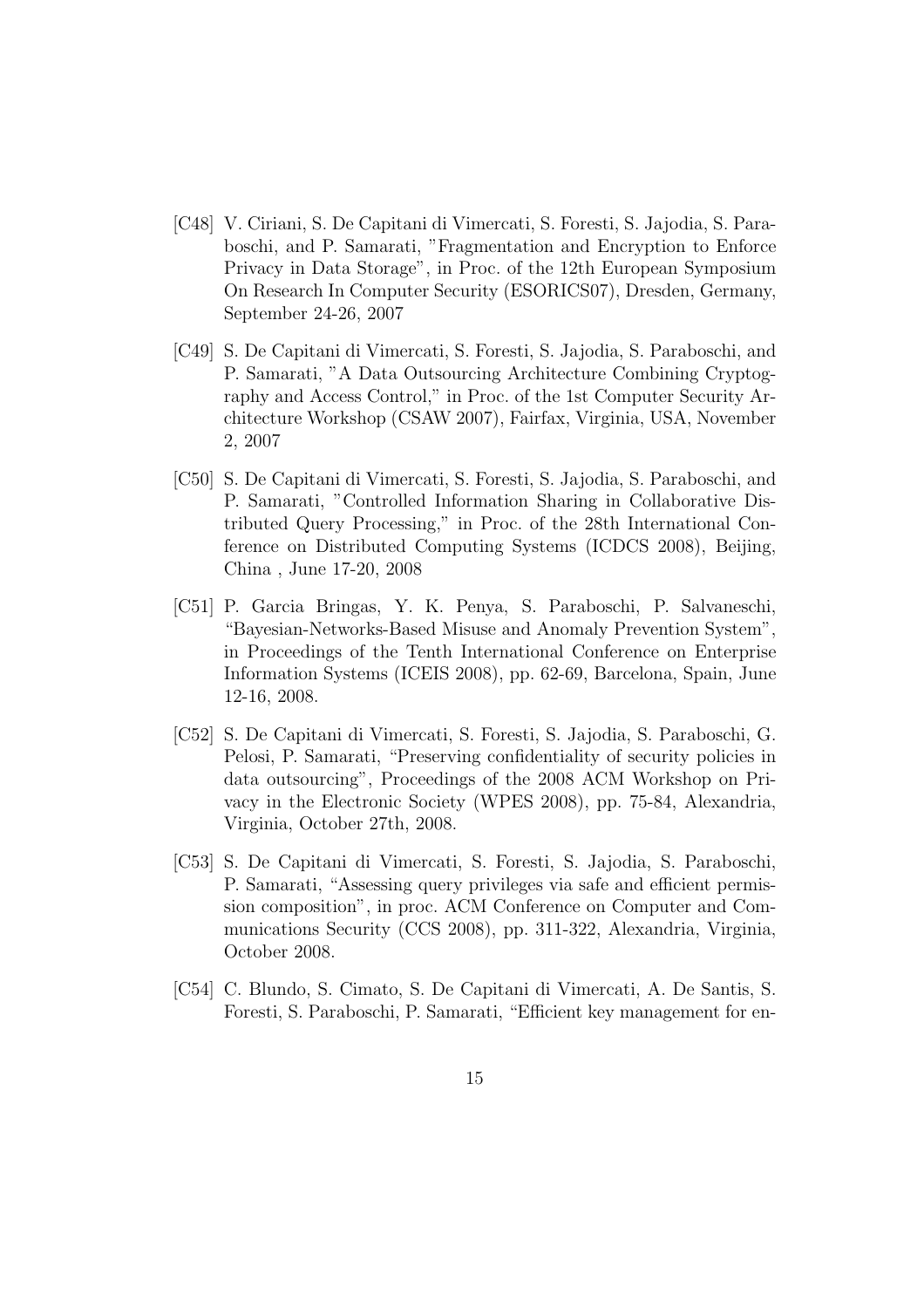- [C48] V. Ciriani, S. De Capitani di Vimercati, S. Foresti, S. Jajodia, S. Paraboschi, and P. Samarati, "Fragmentation and Encryption to Enforce Privacy in Data Storage", in Proc. of the 12th European Symposium On Research In Computer Security (ESORICS07), Dresden, Germany, September 24-26, 2007
- [C49] S. De Capitani di Vimercati, S. Foresti, S. Jajodia, S. Paraboschi, and P. Samarati, "A Data Outsourcing Architecture Combining Cryptography and Access Control," in Proc. of the 1st Computer Security Architecture Workshop (CSAW 2007), Fairfax, Virginia, USA, November 2, 2007
- [C50] S. De Capitani di Vimercati, S. Foresti, S. Jajodia, S. Paraboschi, and P. Samarati, "Controlled Information Sharing in Collaborative Distributed Query Processing," in Proc. of the 28th International Conference on Distributed Computing Systems (ICDCS 2008), Beijing, China , June 17-20, 2008
- [C51] P. Garcia Bringas, Y. K. Penya, S. Paraboschi, P. Salvaneschi, "Bayesian-Networks-Based Misuse and Anomaly Prevention System", in Proceedings of the Tenth International Conference on Enterprise Information Systems (ICEIS 2008), pp. 62-69, Barcelona, Spain, June 12-16, 2008.
- [C52] S. De Capitani di Vimercati, S. Foresti, S. Jajodia, S. Paraboschi, G. Pelosi, P. Samarati, "Preserving confidentiality of security policies in data outsourcing", Proceedings of the 2008 ACM Workshop on Privacy in the Electronic Society (WPES 2008), pp. 75-84, Alexandria, Virginia, October 27th, 2008.
- [C53] S. De Capitani di Vimercati, S. Foresti, S. Jajodia, S. Paraboschi, P. Samarati, "Assessing query privileges via safe and efficient permission composition", in proc. ACM Conference on Computer and Communications Security (CCS 2008), pp. 311-322, Alexandria, Virginia, October 2008.
- [C54] C. Blundo, S. Cimato, S. De Capitani di Vimercati, A. De Santis, S. Foresti, S. Paraboschi, P. Samarati, "Efficient key management for en-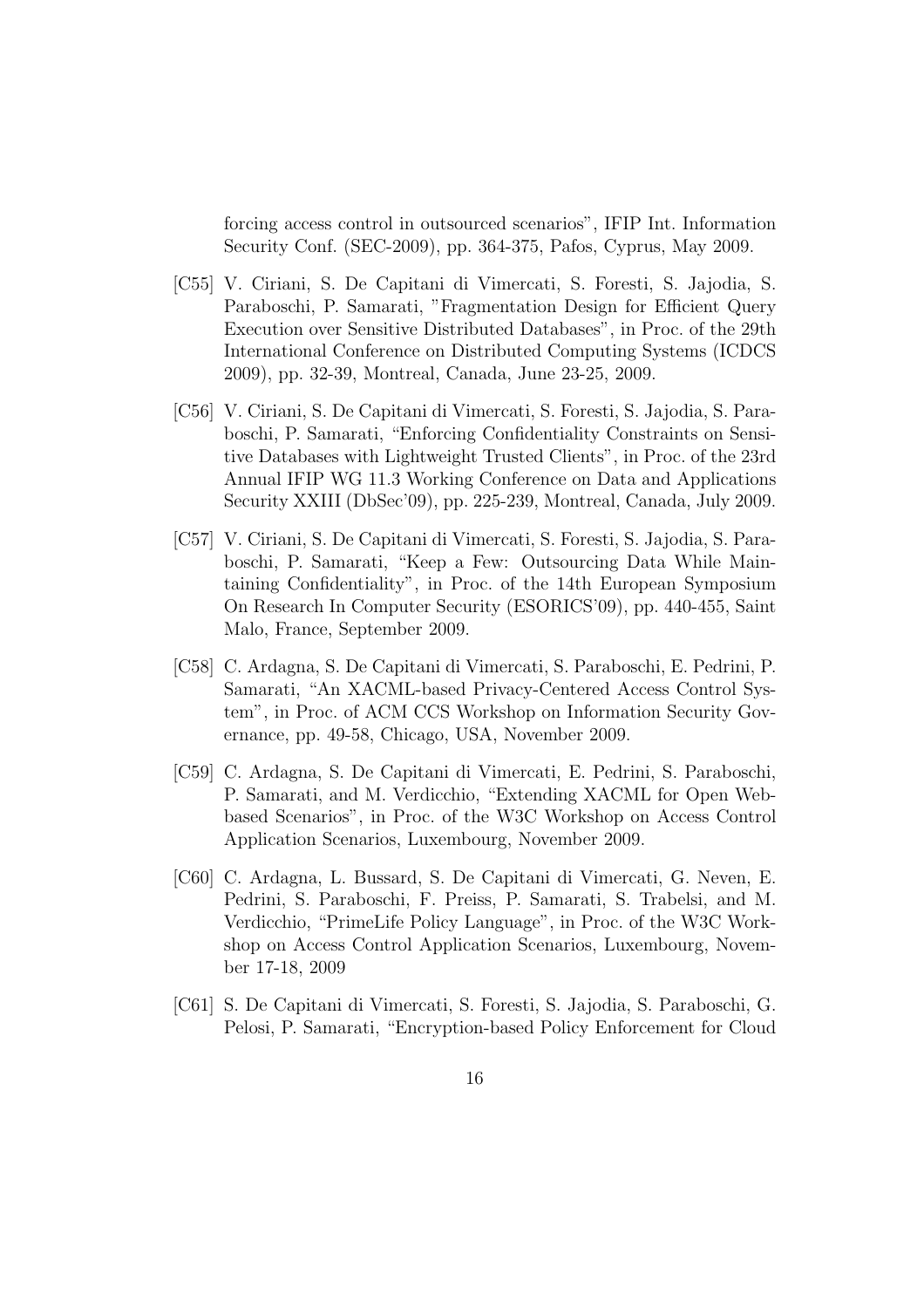forcing access control in outsourced scenarios", IFIP Int. Information Security Conf. (SEC-2009), pp. 364-375, Pafos, Cyprus, May 2009.

- [C55] V. Ciriani, S. De Capitani di Vimercati, S. Foresti, S. Jajodia, S. Paraboschi, P. Samarati, "Fragmentation Design for Efficient Query Execution over Sensitive Distributed Databases", in Proc. of the 29th International Conference on Distributed Computing Systems (ICDCS 2009), pp. 32-39, Montreal, Canada, June 23-25, 2009.
- [C56] V. Ciriani, S. De Capitani di Vimercati, S. Foresti, S. Jajodia, S. Paraboschi, P. Samarati, "Enforcing Confidentiality Constraints on Sensitive Databases with Lightweight Trusted Clients", in Proc. of the 23rd Annual IFIP WG 11.3 Working Conference on Data and Applications Security XXIII (DbSec'09), pp. 225-239, Montreal, Canada, July 2009.
- [C57] V. Ciriani, S. De Capitani di Vimercati, S. Foresti, S. Jajodia, S. Paraboschi, P. Samarati, "Keep a Few: Outsourcing Data While Maintaining Confidentiality", in Proc. of the 14th European Symposium On Research In Computer Security (ESORICS'09), pp. 440-455, Saint Malo, France, September 2009.
- [C58] C. Ardagna, S. De Capitani di Vimercati, S. Paraboschi, E. Pedrini, P. Samarati, "An XACML-based Privacy-Centered Access Control System", in Proc. of ACM CCS Workshop on Information Security Governance, pp. 49-58, Chicago, USA, November 2009.
- [C59] C. Ardagna, S. De Capitani di Vimercati, E. Pedrini, S. Paraboschi, P. Samarati, and M. Verdicchio, "Extending XACML for Open Webbased Scenarios", in Proc. of the W3C Workshop on Access Control Application Scenarios, Luxembourg, November 2009.
- [C60] C. Ardagna, L. Bussard, S. De Capitani di Vimercati, G. Neven, E. Pedrini, S. Paraboschi, F. Preiss, P. Samarati, S. Trabelsi, and M. Verdicchio, "PrimeLife Policy Language", in Proc. of the W3C Workshop on Access Control Application Scenarios, Luxembourg, November 17-18, 2009
- [C61] S. De Capitani di Vimercati, S. Foresti, S. Jajodia, S. Paraboschi, G. Pelosi, P. Samarati, "Encryption-based Policy Enforcement for Cloud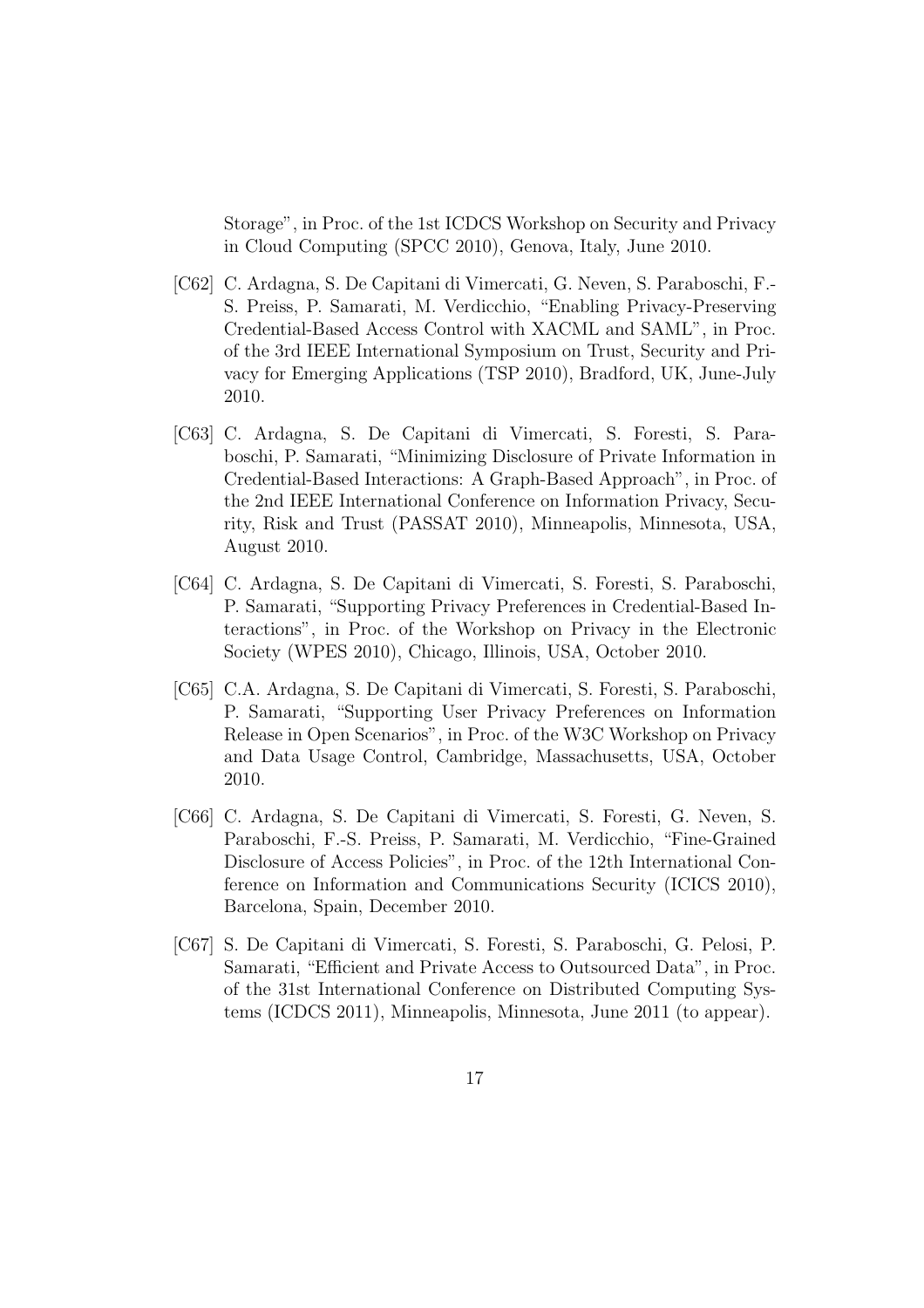Storage", in Proc. of the 1st ICDCS Workshop on Security and Privacy in Cloud Computing (SPCC 2010), Genova, Italy, June 2010.

- [C62] C. Ardagna, S. De Capitani di Vimercati, G. Neven, S. Paraboschi, F.- S. Preiss, P. Samarati, M. Verdicchio, "Enabling Privacy-Preserving Credential-Based Access Control with XACML and SAML", in Proc. of the 3rd IEEE International Symposium on Trust, Security and Privacy for Emerging Applications (TSP 2010), Bradford, UK, June-July 2010.
- [C63] C. Ardagna, S. De Capitani di Vimercati, S. Foresti, S. Paraboschi, P. Samarati, "Minimizing Disclosure of Private Information in Credential-Based Interactions: A Graph-Based Approach", in Proc. of the 2nd IEEE International Conference on Information Privacy, Security, Risk and Trust (PASSAT 2010), Minneapolis, Minnesota, USA, August 2010.
- [C64] C. Ardagna, S. De Capitani di Vimercati, S. Foresti, S. Paraboschi, P. Samarati, "Supporting Privacy Preferences in Credential-Based Interactions", in Proc. of the Workshop on Privacy in the Electronic Society (WPES 2010), Chicago, Illinois, USA, October 2010.
- [C65] C.A. Ardagna, S. De Capitani di Vimercati, S. Foresti, S. Paraboschi, P. Samarati, "Supporting User Privacy Preferences on Information Release in Open Scenarios", in Proc. of the W3C Workshop on Privacy and Data Usage Control, Cambridge, Massachusetts, USA, October 2010.
- [C66] C. Ardagna, S. De Capitani di Vimercati, S. Foresti, G. Neven, S. Paraboschi, F.-S. Preiss, P. Samarati, M. Verdicchio, "Fine-Grained Disclosure of Access Policies", in Proc. of the 12th International Conference on Information and Communications Security (ICICS 2010), Barcelona, Spain, December 2010.
- [C67] S. De Capitani di Vimercati, S. Foresti, S. Paraboschi, G. Pelosi, P. Samarati, "Efficient and Private Access to Outsourced Data", in Proc. of the 31st International Conference on Distributed Computing Systems (ICDCS 2011), Minneapolis, Minnesota, June 2011 (to appear).